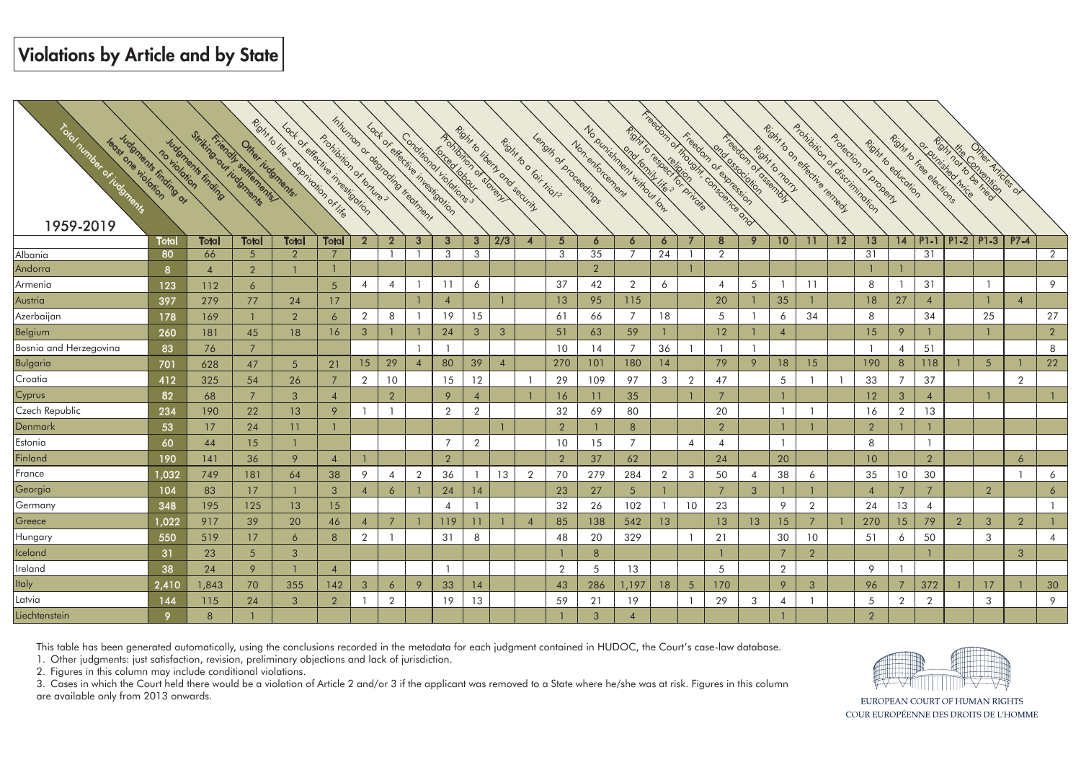## Violations by Article and by State

| Total number of latermants<br>legal one right indigen<br>1959-2019 | no violetion | Striking out indemnants<br><b>Ludenents Ficting</b> | Friendly selfenements<br>Other indements: | Right to life depination of life<br>Lock of effective integritorien | Infurnon or desirating healthem<br>Aphibiion of fortunes |                |                |                | Lock of effective investigation<br>Conditional volations s<br>Antibilition of Strange<br><b>Korced lobbury</b> |                |                | Richt to liberty ond security<br>Richi to o foir high |                | No bunishment without low<br>Length of bioceedings<br>Non-enforcement | Roll to Leader Leither Dinner<br>end femily life ? |                |                 | Freedom of the Construction of one<br>end disciplining | Tricedom of desembly<br>Right to morry |                | Right to an effective remedy |    | Prohibition of discrimination<br>Protection of Droperty<br>Right to education |                | Richt to Free elections<br>or punished Krice |                 | Rommon Lo Contention<br>Other Articles of |                |                |
|--------------------------------------------------------------------|--------------|-----------------------------------------------------|-------------------------------------------|---------------------------------------------------------------------|----------------------------------------------------------|----------------|----------------|----------------|----------------------------------------------------------------------------------------------------------------|----------------|----------------|-------------------------------------------------------|----------------|-----------------------------------------------------------------------|----------------------------------------------------|----------------|-----------------|--------------------------------------------------------|----------------------------------------|----------------|------------------------------|----|-------------------------------------------------------------------------------|----------------|----------------------------------------------|-----------------|-------------------------------------------|----------------|----------------|
|                                                                    | <b>Total</b> | <b>Total</b>                                        | <b>Total</b>                              | <b>Total</b>                                                        | <b>Total</b>                                             | $\mathbf 2$    | $\mathbf 2$    | 3              | $\mathbf{3}$                                                                                                   | $\mathbf{3}$   | 2/3            | $\overline{4}$                                        | 5              | $\epsilon$                                                            | 6                                                  | 6              |                 | 8                                                      | 9                                      | 10             | 11                           | 12 | 13                                                                            | 14             | <b>P1-1</b>                                  | $P1-2$   $P1-3$ |                                           | $P7-4$         |                |
| Albania                                                            | 80           | 66                                                  | $5\overline{)}$                           | $\overline{2}$                                                      | 7                                                        |                |                |                | 3                                                                                                              | 3              |                |                                                       | 3              | 35                                                                    | 7                                                  | 24             |                 | $\overline{2}$                                         |                                        |                |                              |    | 31                                                                            |                | 31                                           |                 |                                           |                | 2              |
| Andorra                                                            | -8           | $\overline{4}$                                      | $\overline{2}$                            |                                                                     |                                                          |                |                |                |                                                                                                                |                |                |                                                       |                | $\overline{2}$                                                        |                                                    |                |                 |                                                        |                                        |                |                              |    |                                                                               |                |                                              |                 |                                           |                |                |
| Armenia                                                            | 123          | 112                                                 | 6                                         |                                                                     | 5                                                        | $\overline{4}$ | $\overline{A}$ |                | 11                                                                                                             | 6              |                |                                                       | 37             | 42                                                                    | $\overline{2}$                                     | 6              |                 | $\overline{4}$                                         | 5                                      |                | 11                           |    | 8                                                                             |                | 31                                           |                 |                                           |                | 9              |
| Austria                                                            | 397          | 279                                                 | 77                                        | 24                                                                  | 17                                                       |                |                |                | $\boldsymbol{\mathcal{A}}$                                                                                     |                |                |                                                       | 13             | 95                                                                    | 115                                                |                |                 | 20                                                     |                                        | 35             |                              |    | 18                                                                            | 27             | $\overline{4}$                               |                 |                                           | $\overline{4}$ |                |
| Azerbaijan                                                         | 178          | 169                                                 |                                           | $\overline{2}$                                                      | 6                                                        | $\overline{2}$ | 8              |                | 19                                                                                                             | 15             |                |                                                       | 61             | 66                                                                    | $\overline{7}$                                     | 18             |                 | 5                                                      |                                        | 6              | 34                           |    | 8                                                                             |                | 34                                           |                 | 25                                        |                | 27             |
| Belgium                                                            | 260          | 181                                                 | 45                                        | 18                                                                  | 16                                                       | 3              |                |                | 24                                                                                                             | 3              | 3              |                                                       | 51             | 63                                                                    | 59                                                 |                |                 | 12                                                     |                                        | $\overline{4}$ |                              |    | 15                                                                            | 9              |                                              |                 |                                           |                | $\overline{2}$ |
| Bosnia and Herzegovina                                             | 83           | 76                                                  | $\overline{7}$                            |                                                                     |                                                          |                |                |                |                                                                                                                |                |                |                                                       | 10             | 14                                                                    | $\overline{7}$                                     | 36             |                 |                                                        | $\overline{1}$                         |                |                              |    |                                                                               |                | 51                                           |                 |                                           |                | 8              |
| <b>Bulgaria</b>                                                    | 701          | 628                                                 | 47                                        | $5\overline{)}$                                                     | 21                                                       | 15             | 29             | $\overline{4}$ | 80                                                                                                             | 39             | $\overline{4}$ |                                                       | 270            | 101                                                                   | 180                                                | 14             |                 | 79                                                     | 9                                      | 18             | 15                           |    | 190                                                                           | 8              | 118                                          |                 | 5 <sup>5</sup>                            |                | 22             |
| Croatia                                                            | 412          | 325                                                 | 54                                        | 26                                                                  | 7                                                        | 2              | 10             |                | 15                                                                                                             | 12             |                |                                                       | 29             | 109                                                                   | 97                                                 | 3              | $\overline{2}$  | 47                                                     |                                        | 5              |                              |    | 33                                                                            | $\overline{7}$ | 37                                           |                 |                                           | $\overline{2}$ |                |
| Cyprus                                                             | 82           | 68                                                  | $\overline{7}$                            | 3                                                                   | $\overline{4}$                                           |                | $\overline{2}$ |                | 9                                                                                                              | $\overline{4}$ |                |                                                       | 16             | 11                                                                    | 35                                                 |                |                 | 7                                                      |                                        |                |                              |    | 12                                                                            | 3              | $\overline{4}$                               |                 |                                           |                |                |
| Czech Republic                                                     | 234          | 190                                                 | 22                                        | 13                                                                  | 9                                                        |                |                |                | $\overline{2}$                                                                                                 | $\overline{2}$ |                |                                                       | 32             | 69                                                                    | 80                                                 |                |                 | 20                                                     |                                        |                |                              |    | 16                                                                            | $\overline{2}$ | 13                                           |                 |                                           |                |                |
| Denmark                                                            | 53           | 17                                                  | 24                                        | 11                                                                  |                                                          |                |                |                |                                                                                                                |                |                |                                                       | $\overline{2}$ |                                                                       | 8                                                  |                |                 | 2                                                      |                                        |                |                              |    | $\overline{2}$                                                                |                |                                              |                 |                                           |                |                |
| Estonia                                                            | 60           | 44                                                  | 15                                        |                                                                     |                                                          |                |                |                | $\overline{7}$                                                                                                 | $\overline{2}$ |                |                                                       | 10             | 15                                                                    | $\overline{7}$                                     |                | $\overline{4}$  | $\Delta$                                               |                                        |                |                              |    | 8                                                                             |                |                                              |                 |                                           |                |                |
| Finland                                                            | 190          | 141                                                 | 36                                        | 9                                                                   | $\overline{4}$                                           |                |                |                | $\overline{2}$                                                                                                 |                |                |                                                       | $\mathcal{P}$  | 37                                                                    | 62                                                 |                |                 | 24                                                     |                                        | 20             |                              |    | 10 <sup>°</sup>                                                               |                | 2                                            |                 |                                           | 6              |                |
| France                                                             | 1,032        | 749                                                 | 181                                       | 64                                                                  | 38                                                       | 9              | $\overline{4}$ | $\overline{2}$ | 36                                                                                                             |                | 13             | $\overline{2}$                                        | 70             | 279                                                                   | 284                                                | $\overline{2}$ | 3               | 50                                                     | 4                                      | 38             | 6                            |    | 35                                                                            | 10             | 30                                           |                 |                                           | $\mathbf{1}$   | 6              |
| Georgia                                                            | 104          | 83                                                  | 17                                        |                                                                     | $\mathbf{3}$                                             | $\overline{4}$ | 6              |                | 24                                                                                                             | 14             |                |                                                       | 23             | 27                                                                    | $\overline{5}$                                     |                |                 | 7                                                      | $\mathbf{3}$                           |                |                              |    | Δ                                                                             | $\overline{7}$ | $\overline{7}$                               |                 | $\overline{2}$                            |                | 6              |
| Germany                                                            | 348          | 195                                                 | 125                                       | 13                                                                  | 15                                                       |                |                |                | $\overline{A}$                                                                                                 |                |                |                                                       | 32             | 26                                                                    | 102                                                |                | 10 <sup>°</sup> | 23                                                     |                                        | 9              | $\overline{2}$               |    | 24                                                                            | 13             | $\overline{4}$                               |                 |                                           |                | $\overline{1}$ |
| Greece                                                             | 1,022        | 917                                                 | 39                                        | 20                                                                  | 46                                                       | $\overline{A}$ |                |                | 119                                                                                                            | 11             |                | $\boldsymbol{\varDelta}$                              | 85             | 138                                                                   | 542                                                | 13             |                 | 13                                                     | 13                                     | 15             | $\overline{7}$               |    | 270                                                                           | 15             | 79                                           | $\overline{2}$  | $\mathbf{3}$                              | 2              |                |
| Hungary                                                            | 550          | 519                                                 | 17                                        | 6                                                                   | 8                                                        | $\overline{2}$ |                |                | 31                                                                                                             | 8              |                |                                                       | 48             | 20                                                                    | 329                                                |                |                 | 21                                                     |                                        | 30             | 10                           |    | 51                                                                            | 6              | 50                                           |                 | 3                                         |                | $\overline{4}$ |
| Iceland                                                            | 31           | 23                                                  | $\sqrt{5}$                                | 3                                                                   |                                                          |                |                |                |                                                                                                                |                |                |                                                       |                | 8                                                                     |                                                    |                |                 |                                                        |                                        | $\overline{7}$ | $\overline{2}$               |    |                                                                               |                |                                              |                 |                                           | 3              |                |
| Ireland                                                            | 38           | 24                                                  | 9                                         |                                                                     | $\boldsymbol{\varDelta}$                                 |                |                |                |                                                                                                                |                |                |                                                       | $\overline{2}$ | 5                                                                     | 13                                                 |                |                 | 5                                                      |                                        | $\overline{2}$ |                              |    | 9                                                                             |                |                                              |                 |                                           |                |                |
| Italy                                                              | 2,410        | 1,843                                               | 70                                        | 355                                                                 | 142                                                      | 3              | 6              | 9              | 33                                                                                                             | 14             |                |                                                       | 43             | 286                                                                   | 1,197                                              | 18             | $\sqrt{5}$      | 170                                                    |                                        | 9              | 3                            |    | 96                                                                            |                | 372                                          |                 | 17                                        |                | $30\,$         |
| Latvia                                                             | 144          | 115                                                 | 24                                        | 3                                                                   | $\overline{2}$                                           |                | $\overline{2}$ |                | 19                                                                                                             | 13             |                |                                                       | 59             | 21                                                                    | 19                                                 |                |                 | 29                                                     | 3                                      | $\overline{4}$ |                              |    | 5                                                                             | $\overline{2}$ | $\overline{2}$                               |                 | 3                                         |                | 9              |
| Liechtenstein                                                      | <b>Q</b>     | $\mathbf{8}$                                        |                                           |                                                                     |                                                          |                |                |                |                                                                                                                |                |                |                                                       |                | $\overline{3}$                                                        | Δ                                                  |                |                 |                                                        |                                        |                |                              |    | $\overline{2}$                                                                |                |                                              |                 |                                           |                |                |

This table has been generated automatically, using the conclusions recorded in the metadata for each judgment contained in HUDOC, the Court's case-law database.

1. Other judgments: just satisfaction, revision, preliminary objections and lack of jurisdiction.

2. Figures in this column may include conditional violations.

3. Cases in which the Court held there would be a violation of Article 2 and/or 3 if the applicant was removed to a State where he/she was at risk. Figures in this column are available only from 2013 onwards.



EUROPEAN COURT OF HUMAN RIGHTS COUR EUROPÉENNE DES DROITS DE L'HOMME